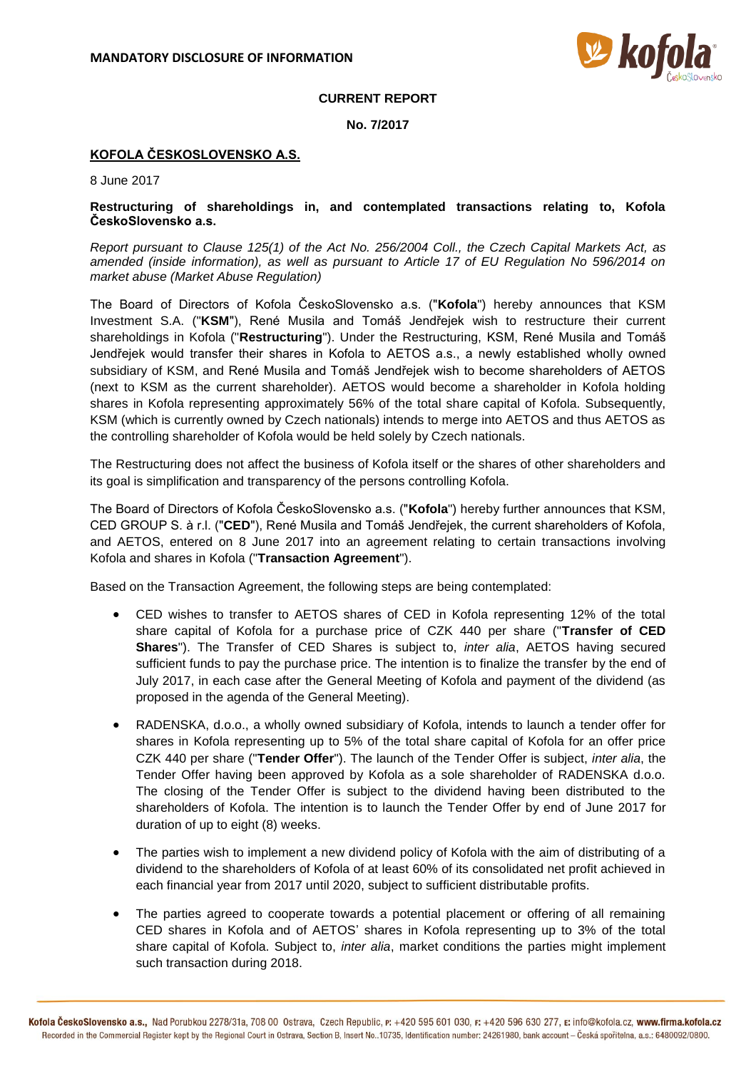

## **CURRENT REPORT**

**No. 7/2017**

## **KOFOLA ČESKOSLOVENSKO A.S.**

8 June 2017

## **Restructuring of shareholdings in, and contemplated transactions relating to, Kofola ČeskoSlovensko a.s.**

*Report pursuant to Clause 125(1) of the Act No. 256/2004 Coll., the Czech Capital Markets Act, as amended (inside information), as well as pursuant to Article 17 of EU Regulation No 596/2014 on market abuse (Market Abuse Regulation)*

The Board of Directors of Kofola ČeskoSlovensko a.s. ("**Kofola**") hereby announces that KSM Investment S.A. ("**KSM**"), René Musila and Tomáš Jendřejek wish to restructure their current shareholdings in Kofola ("**Restructuring**"). Under the Restructuring, KSM, René Musila and Tomáš Jendřejek would transfer their shares in Kofola to AETOS a.s., a newly established wholly owned subsidiary of KSM, and René Musila and Tomáš Jendřejek wish to become shareholders of AETOS (next to KSM as the current shareholder). AETOS would become a shareholder in Kofola holding shares in Kofola representing approximately 56% of the total share capital of Kofola. Subsequently, KSM (which is currently owned by Czech nationals) intends to merge into AETOS and thus AETOS as the controlling shareholder of Kofola would be held solely by Czech nationals.

The Restructuring does not affect the business of Kofola itself or the shares of other shareholders and its goal is simplification and transparency of the persons controlling Kofola.

The Board of Directors of Kofola ČeskoSlovensko a.s. ("**Kofola**") hereby further announces that KSM, CED GROUP S. à r.l. ("**CED**"), René Musila and Tomáš Jendřejek, the current shareholders of Kofola, and AETOS, entered on 8 June 2017 into an agreement relating to certain transactions involving Kofola and shares in Kofola ("**Transaction Agreement**").

Based on the Transaction Agreement, the following steps are being contemplated:

- CED wishes to transfer to AETOS shares of CED in Kofola representing 12% of the total share capital of Kofola for a purchase price of CZK 440 per share ("**Transfer of CED Shares**"). The Transfer of CED Shares is subject to, *inter alia*, AETOS having secured sufficient funds to pay the purchase price. The intention is to finalize the transfer by the end of July 2017, in each case after the General Meeting of Kofola and payment of the dividend (as proposed in the agenda of the General Meeting).
- RADENSKA, d.o.o., a wholly owned subsidiary of Kofola, intends to launch a tender offer for shares in Kofola representing up to 5% of the total share capital of Kofola for an offer price CZK 440 per share ("**Tender Offer**"). The launch of the Tender Offer is subject, *inter alia*, the Tender Offer having been approved by Kofola as a sole shareholder of RADENSKA d.o.o. The closing of the Tender Offer is subject to the dividend having been distributed to the shareholders of Kofola. The intention is to launch the Tender Offer by end of June 2017 for duration of up to eight (8) weeks.
- The parties wish to implement a new dividend policy of Kofola with the aim of distributing of a dividend to the shareholders of Kofola of at least 60% of its consolidated net profit achieved in each financial year from 2017 until 2020, subject to sufficient distributable profits.
- The parties agreed to cooperate towards a potential placement or offering of all remaining CED shares in Kofola and of AETOS' shares in Kofola representing up to 3% of the total share capital of Kofola. Subject to, *inter alia*, market conditions the parties might implement such transaction during 2018.